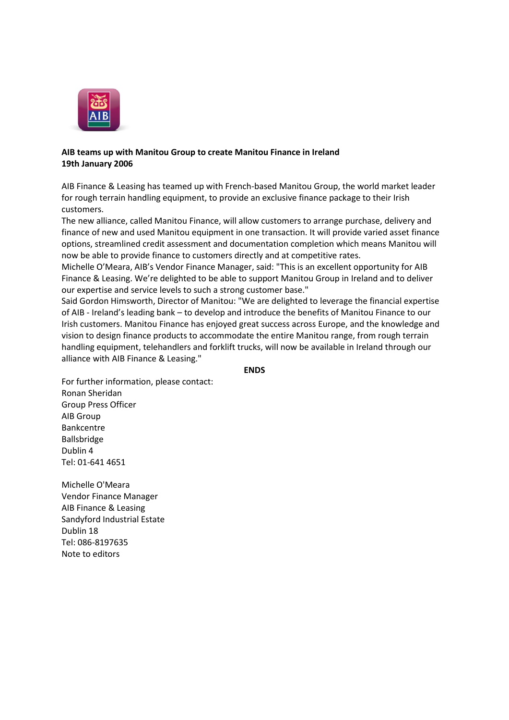

## **AIB teams up with Manitou Group to create Manitou Finance in Ireland 19th January 2006**

AIB Finance & Leasing has teamed up with French-based Manitou Group, the world market leader for rough terrain handling equipment, to provide an exclusive finance package to their Irish customers.

The new alliance, called Manitou Finance, will allow customers to arrange purchase, delivery and finance of new and used Manitou equipment in one transaction. It will provide varied asset finance options, streamlined credit assessment and documentation completion which means Manitou will now be able to provide finance to customers directly and at competitive rates.

Michelle O'Meara, AIB's Vendor Finance Manager, said: "This is an excellent opportunity for AIB Finance & Leasing. We're delighted to be able to support Manitou Group in Ireland and to deliver our expertise and service levels to such a strong customer base."

Said Gordon Himsworth, Director of Manitou: "We are delighted to leverage the financial expertise of AIB - Ireland's leading bank – to develop and introduce the benefits of Manitou Finance to our Irish customers. Manitou Finance has enjoyed great success across Europe, and the knowledge and vision to design finance products to accommodate the entire Manitou range, from rough terrain handling equipment, telehandlers and forklift trucks, will now be available in Ireland through our alliance with AIB Finance & Leasing."

## **ENDS**

For further information, please contact: Ronan Sheridan Group Press Officer AIB Group Bankcentre Ballsbridge Dublin 4 Tel: 01-641 4651

Michelle O'Meara Vendor Finance Manager AIB Finance & Leasing Sandyford Industrial Estate Dublin 18 Tel: 086-8197635 Note to editors